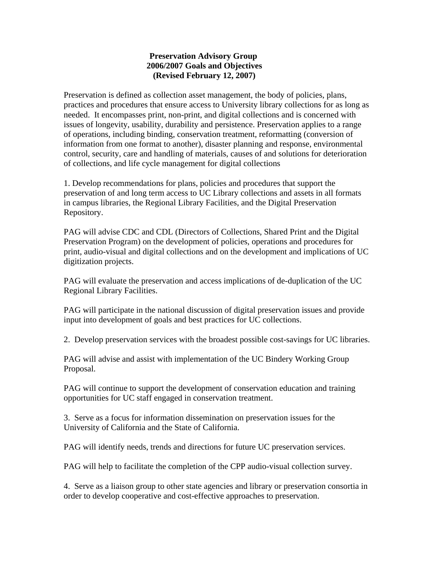## **Preservation Advisory Group 2006/2007 Goals and Objectives (Revised February 12, 2007)**

Preservation is defined as collection asset management, the body of policies, plans, practices and procedures that ensure access to University library collections for as long as needed. It encompasses print, non-print, and digital collections and is concerned with issues of longevity, usability, durability and persistence. Preservation applies to a range of operations, including binding, conservation treatment, reformatting (conversion of information from one format to another), disaster planning and response, environmental control, security, care and handling of materials, causes of and solutions for deterioration of collections, and life cycle management for digital collections

1. Develop recommendations for plans, policies and procedures that support the preservation of and long term access to UC Library collections and assets in all formats in campus libraries, the Regional Library Facilities, and the Digital Preservation Repository.

PAG will advise CDC and CDL (Directors of Collections, Shared Print and the Digital Preservation Program) on the development of policies, operations and procedures for print, audio-visual and digital collections and on the development and implications of UC digitization projects.

PAG will evaluate the preservation and access implications of de-duplication of the UC Regional Library Facilities.

PAG will participate in the national discussion of digital preservation issues and provide input into development of goals and best practices for UC collections.

2. Develop preservation services with the broadest possible cost-savings for UC libraries.

PAG will advise and assist with implementation of the UC Bindery Working Group Proposal.

PAG will continue to support the development of conservation education and training opportunities for UC staff engaged in conservation treatment.

3. Serve as a focus for information dissemination on preservation issues for the University of California and the State of California.

PAG will identify needs, trends and directions for future UC preservation services.

PAG will help to facilitate the completion of the CPP audio-visual collection survey.

4. Serve as a liaison group to other state agencies and library or preservation consortia in order to develop cooperative and cost-effective approaches to preservation.